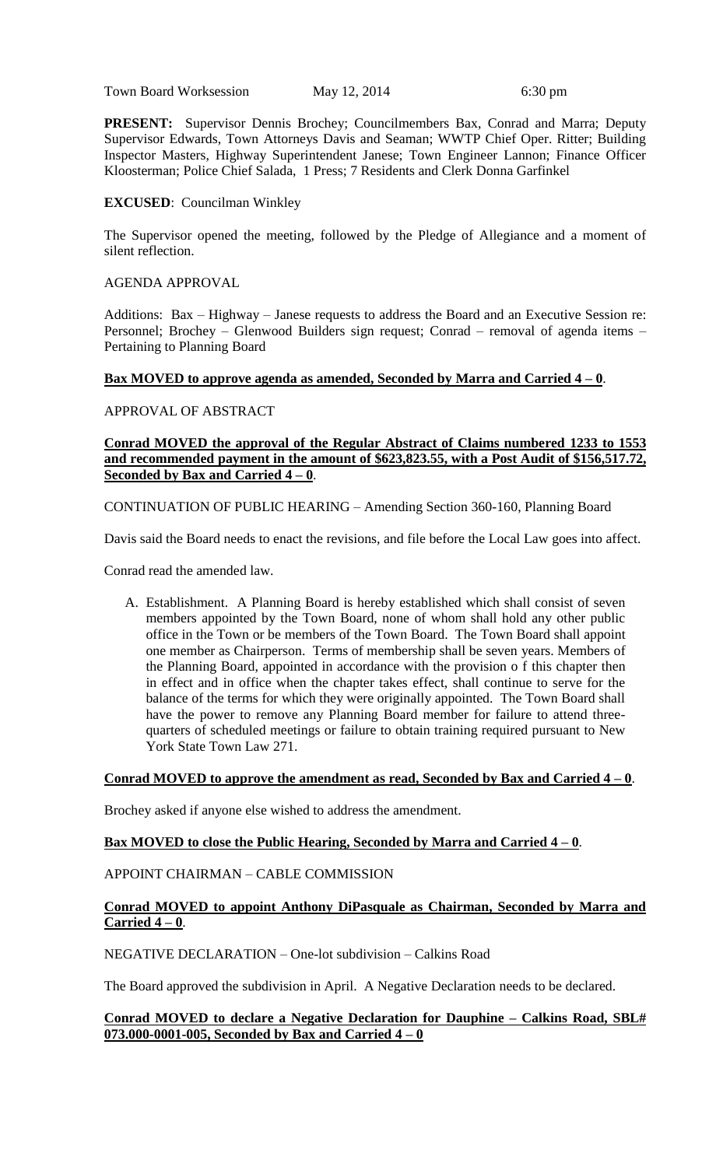Town Board Worksession May 12, 2014 6:30 pm

**PRESENT:** Supervisor Dennis Brochey; Councilmembers Bax, Conrad and Marra; Deputy Supervisor Edwards, Town Attorneys Davis and Seaman; WWTP Chief Oper. Ritter; Building Inspector Masters, Highway Superintendent Janese; Town Engineer Lannon; Finance Officer Kloosterman; Police Chief Salada, 1 Press; 7 Residents and Clerk Donna Garfinkel

# **EXCUSED**: Councilman Winkley

The Supervisor opened the meeting, followed by the Pledge of Allegiance and a moment of silent reflection.

### AGENDA APPROVAL

Additions: Bax – Highway – Janese requests to address the Board and an Executive Session re: Personnel; Brochey – Glenwood Builders sign request; Conrad – removal of agenda items – Pertaining to Planning Board

# **Bax MOVED to approve agenda as amended, Seconded by Marra and Carried 4 – 0**.

APPROVAL OF ABSTRACT

### **Conrad MOVED the approval of the Regular Abstract of Claims numbered 1233 to 1553 and recommended payment in the amount of \$623,823.55, with a Post Audit of \$156,517.72, <u>Seconded by Bax and Carried**  $4 - 0$ **</u>.**

CONTINUATION OF PUBLIC HEARING – Amending Section 360-160, Planning Board

Davis said the Board needs to enact the revisions, and file before the Local Law goes into affect.

Conrad read the amended law.

A. Establishment. A Planning Board is hereby established which shall consist of seven members appointed by the Town Board, none of whom shall hold any other public office in the Town or be members of the Town Board. The Town Board shall appoint one member as Chairperson. Terms of membership shall be seven years. Members of the Planning Board, appointed in accordance with the provision o f this chapter then in effect and in office when the chapter takes effect, shall continue to serve for the balance of the terms for which they were originally appointed. The Town Board shall have the power to remove any Planning Board member for failure to attend threequarters of scheduled meetings or failure to obtain training required pursuant to New York State Town Law 271.

# **Conrad MOVED to approve the amendment as read, Seconded by Bax and Carried 4 – 0**.

Brochey asked if anyone else wished to address the amendment.

# **Bax MOVED to close the Public Hearing, Seconded by Marra and Carried 4 – 0**.

#### APPOINT CHAIRMAN – CABLE COMMISSION

#### **Conrad MOVED to appoint Anthony DiPasquale as Chairman, Seconded by Marra and Carried 4 – 0**.

NEGATIVE DECLARATION – One-lot subdivision – Calkins Road

The Board approved the subdivision in April. A Negative Declaration needs to be declared.

#### **Conrad MOVED to declare a Negative Declaration for Dauphine – Calkins Road, SBL# 073.000-0001-005, Seconded by Bax and Carried 4 – 0**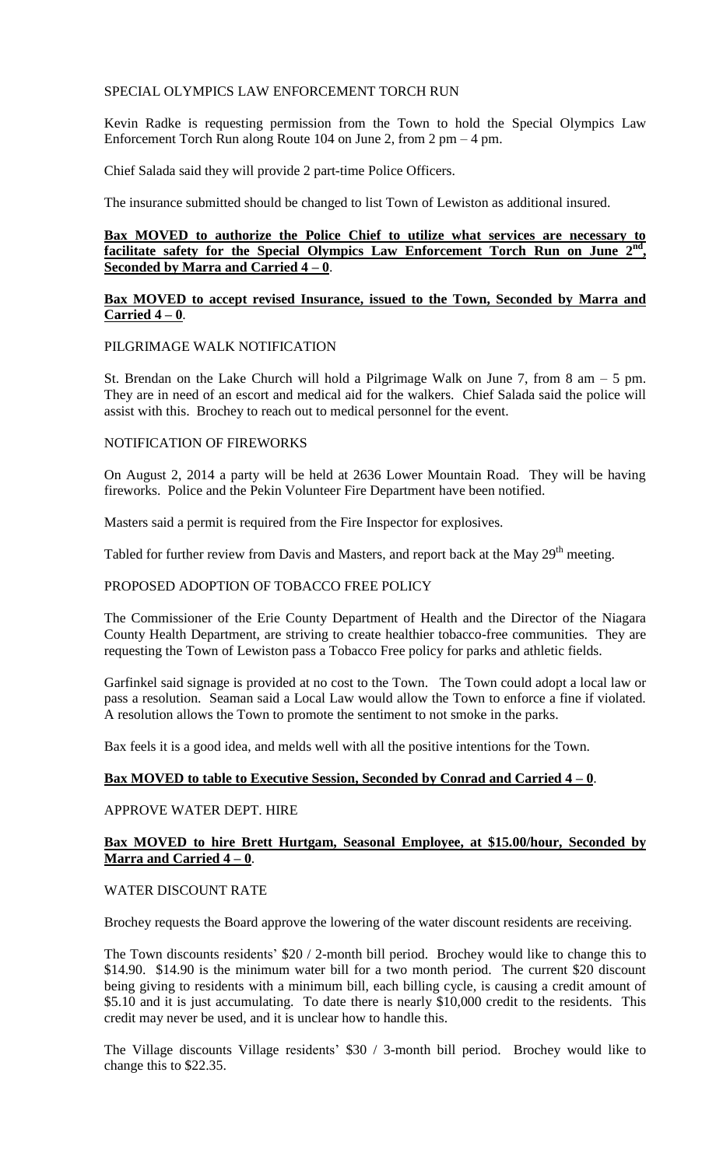### SPECIAL OLYMPICS LAW ENFORCEMENT TORCH RUN

Kevin Radke is requesting permission from the Town to hold the Special Olympics Law Enforcement Torch Run along Route 104 on June 2, from 2 pm – 4 pm.

Chief Salada said they will provide 2 part-time Police Officers.

The insurance submitted should be changed to list Town of Lewiston as additional insured.

# **Bax MOVED to authorize the Police Chief to utilize what services are necessary to facilitate safety for the Special Olympics Law Enforcement Torch Run on June 2nd , Seconded by Marra and Carried 4 – 0**.

### **Bax MOVED to accept revised Insurance, issued to the Town, Seconded by Marra and Carried 4 – 0**.

#### PILGRIMAGE WALK NOTIFICATION

St. Brendan on the Lake Church will hold a Pilgrimage Walk on June 7, from  $8 \text{ am } -5 \text{ pm}$ . They are in need of an escort and medical aid for the walkers. Chief Salada said the police will assist with this. Brochey to reach out to medical personnel for the event.

#### NOTIFICATION OF FIREWORKS

On August 2, 2014 a party will be held at 2636 Lower Mountain Road. They will be having fireworks. Police and the Pekin Volunteer Fire Department have been notified.

Masters said a permit is required from the Fire Inspector for explosives.

Tabled for further review from Davis and Masters, and report back at the May 29<sup>th</sup> meeting.

#### PROPOSED ADOPTION OF TOBACCO FREE POLICY

The Commissioner of the Erie County Department of Health and the Director of the Niagara County Health Department, are striving to create healthier tobacco-free communities. They are requesting the Town of Lewiston pass a Tobacco Free policy for parks and athletic fields.

Garfinkel said signage is provided at no cost to the Town. The Town could adopt a local law or pass a resolution. Seaman said a Local Law would allow the Town to enforce a fine if violated. A resolution allows the Town to promote the sentiment to not smoke in the parks.

Bax feels it is a good idea, and melds well with all the positive intentions for the Town.

# **Bax MOVED to table to Executive Session, Seconded by Conrad and Carried 4 – 0**.

# APPROVE WATER DEPT. HIRE

# **Bax MOVED to hire Brett Hurtgam, Seasonal Employee, at \$15.00/hour, Seconded by Marra and Carried 4 – 0**.

#### WATER DISCOUNT RATE

Brochey requests the Board approve the lowering of the water discount residents are receiving.

The Town discounts residents' \$20 / 2-month bill period. Brochey would like to change this to \$14.90. \$14.90 is the minimum water bill for a two month period. The current \$20 discount being giving to residents with a minimum bill, each billing cycle, is causing a credit amount of \$5.10 and it is just accumulating. To date there is nearly \$10,000 credit to the residents. This credit may never be used, and it is unclear how to handle this.

The Village discounts Village residents' \$30 / 3-month bill period. Brochey would like to change this to \$22.35.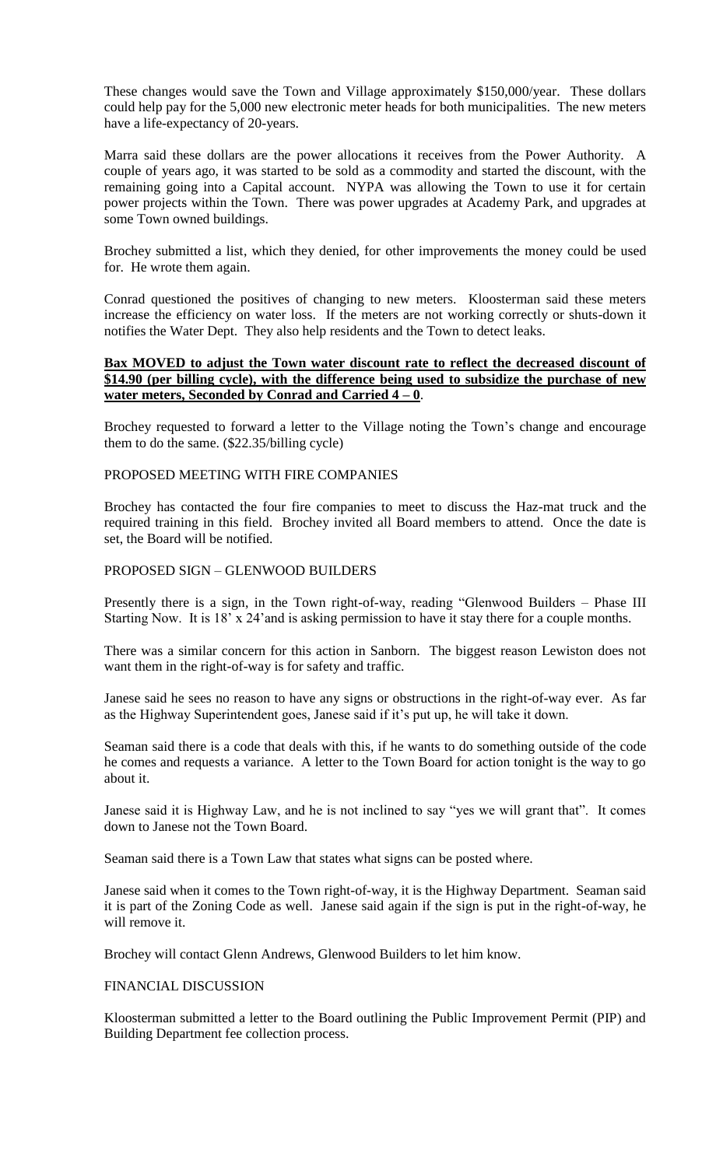These changes would save the Town and Village approximately \$150,000/year. These dollars could help pay for the 5,000 new electronic meter heads for both municipalities. The new meters have a life-expectancy of 20-years.

Marra said these dollars are the power allocations it receives from the Power Authority. A couple of years ago, it was started to be sold as a commodity and started the discount, with the remaining going into a Capital account. NYPA was allowing the Town to use it for certain power projects within the Town. There was power upgrades at Academy Park, and upgrades at some Town owned buildings.

Brochey submitted a list, which they denied, for other improvements the money could be used for. He wrote them again.

Conrad questioned the positives of changing to new meters. Kloosterman said these meters increase the efficiency on water loss. If the meters are not working correctly or shuts-down it notifies the Water Dept. They also help residents and the Town to detect leaks.

### **Bax MOVED to adjust the Town water discount rate to reflect the decreased discount of \$14.90 (per billing cycle), with the difference being used to subsidize the purchase of new water meters, Seconded by Conrad and Carried 4 – 0**.

Brochey requested to forward a letter to the Village noting the Town's change and encourage them to do the same. (\$22.35/billing cycle)

#### PROPOSED MEETING WITH FIRE COMPANIES

Brochey has contacted the four fire companies to meet to discuss the Haz-mat truck and the required training in this field. Brochey invited all Board members to attend. Once the date is set, the Board will be notified.

# PROPOSED SIGN – GLENWOOD BUILDERS

Presently there is a sign, in the Town right-of-way, reading "Glenwood Builders – Phase III Starting Now. It is 18' x 24'and is asking permission to have it stay there for a couple months.

There was a similar concern for this action in Sanborn. The biggest reason Lewiston does not want them in the right-of-way is for safety and traffic.

Janese said he sees no reason to have any signs or obstructions in the right-of-way ever. As far as the Highway Superintendent goes, Janese said if it's put up, he will take it down.

Seaman said there is a code that deals with this, if he wants to do something outside of the code he comes and requests a variance. A letter to the Town Board for action tonight is the way to go about it.

Janese said it is Highway Law, and he is not inclined to say "yes we will grant that". It comes down to Janese not the Town Board.

Seaman said there is a Town Law that states what signs can be posted where.

Janese said when it comes to the Town right-of-way, it is the Highway Department. Seaman said it is part of the Zoning Code as well. Janese said again if the sign is put in the right-of-way, he will remove it.

Brochey will contact Glenn Andrews, Glenwood Builders to let him know.

# FINANCIAL DISCUSSION

Kloosterman submitted a letter to the Board outlining the Public Improvement Permit (PIP) and Building Department fee collection process.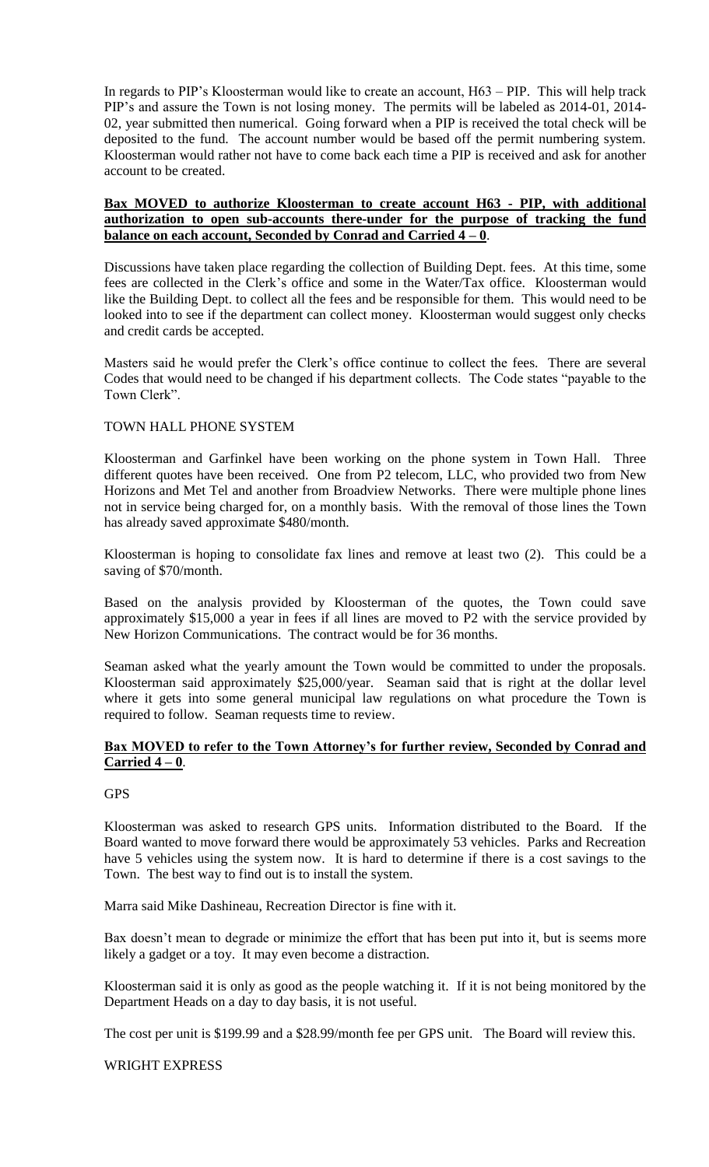In regards to PIP's Kloosterman would like to create an account, H63 – PIP. This will help track PIP's and assure the Town is not losing money. The permits will be labeled as 2014-01, 2014- 02, year submitted then numerical. Going forward when a PIP is received the total check will be deposited to the fund. The account number would be based off the permit numbering system. Kloosterman would rather not have to come back each time a PIP is received and ask for another account to be created.

#### **Bax MOVED to authorize Kloosterman to create account H63 - PIP, with additional authorization to open sub-accounts there-under for the purpose of tracking the fund balance on each account, Seconded by Conrad and Carried 4 – 0**.

Discussions have taken place regarding the collection of Building Dept. fees. At this time, some fees are collected in the Clerk's office and some in the Water/Tax office. Kloosterman would like the Building Dept. to collect all the fees and be responsible for them. This would need to be looked into to see if the department can collect money. Kloosterman would suggest only checks and credit cards be accepted.

Masters said he would prefer the Clerk's office continue to collect the fees. There are several Codes that would need to be changed if his department collects. The Code states "payable to the Town Clerk".

# TOWN HALL PHONE SYSTEM

Kloosterman and Garfinkel have been working on the phone system in Town Hall. Three different quotes have been received. One from P2 telecom, LLC, who provided two from New Horizons and Met Tel and another from Broadview Networks. There were multiple phone lines not in service being charged for, on a monthly basis. With the removal of those lines the Town has already saved approximate \$480/month.

Kloosterman is hoping to consolidate fax lines and remove at least two (2). This could be a saving of \$70/month.

Based on the analysis provided by Kloosterman of the quotes, the Town could save approximately \$15,000 a year in fees if all lines are moved to P2 with the service provided by New Horizon Communications. The contract would be for 36 months.

Seaman asked what the yearly amount the Town would be committed to under the proposals. Kloosterman said approximately \$25,000/year. Seaman said that is right at the dollar level where it gets into some general municipal law regulations on what procedure the Town is required to follow. Seaman requests time to review.

# **Bax MOVED to refer to the Town Attorney's for further review, Seconded by Conrad and Carried 4 – 0**.

# **GPS**

Kloosterman was asked to research GPS units. Information distributed to the Board. If the Board wanted to move forward there would be approximately 53 vehicles. Parks and Recreation have 5 vehicles using the system now. It is hard to determine if there is a cost savings to the Town. The best way to find out is to install the system.

Marra said Mike Dashineau, Recreation Director is fine with it.

Bax doesn't mean to degrade or minimize the effort that has been put into it, but is seems more likely a gadget or a toy. It may even become a distraction.

Kloosterman said it is only as good as the people watching it. If it is not being monitored by the Department Heads on a day to day basis, it is not useful.

The cost per unit is \$199.99 and a \$28.99/month fee per GPS unit. The Board will review this.

# WRIGHT EXPRESS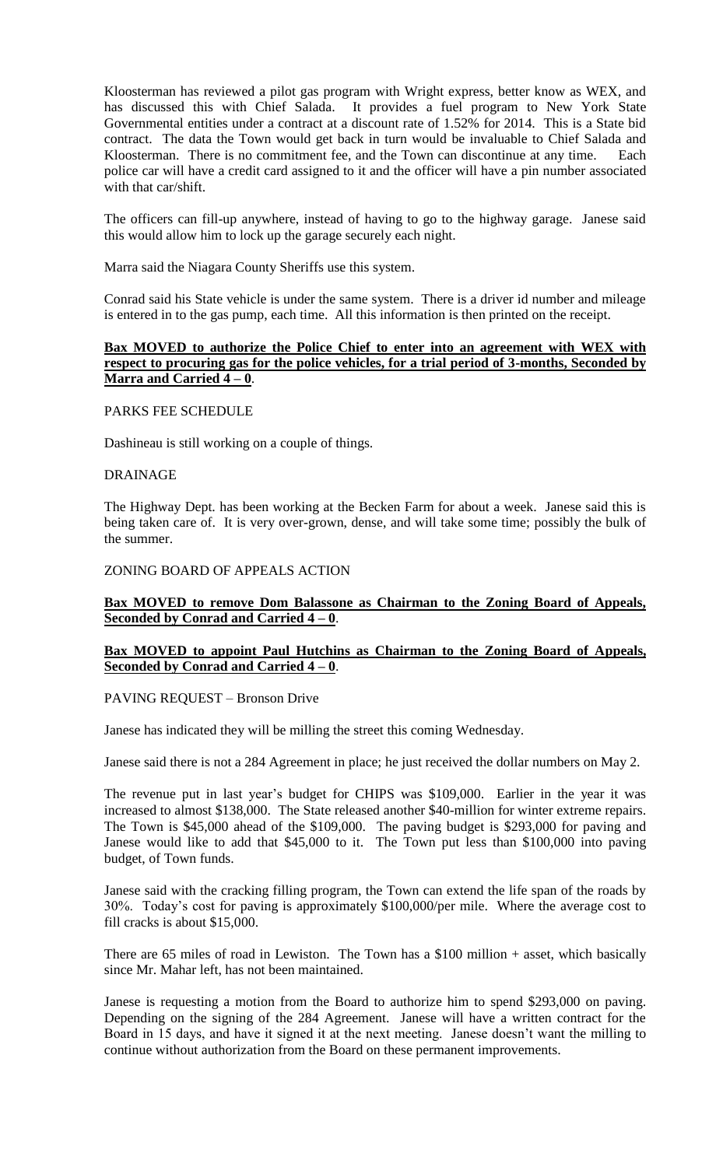Kloosterman has reviewed a pilot gas program with Wright express, better know as WEX, and has discussed this with Chief Salada. It provides a fuel program to New York State Governmental entities under a contract at a discount rate of 1.52% for 2014. This is a State bid contract. The data the Town would get back in turn would be invaluable to Chief Salada and Kloosterman. There is no commitment fee, and the Town can discontinue at any time. Each police car will have a credit card assigned to it and the officer will have a pin number associated with that car/shift.

The officers can fill-up anywhere, instead of having to go to the highway garage. Janese said this would allow him to lock up the garage securely each night.

Marra said the Niagara County Sheriffs use this system.

Conrad said his State vehicle is under the same system. There is a driver id number and mileage is entered in to the gas pump, each time. All this information is then printed on the receipt.

# **Bax MOVED to authorize the Police Chief to enter into an agreement with WEX with respect to procuring gas for the police vehicles, for a trial period of 3-months, Seconded by Marra and Carried 4 – 0**.

PARKS FEE SCHEDULE

Dashineau is still working on a couple of things.

#### DRAINAGE

The Highway Dept. has been working at the Becken Farm for about a week. Janese said this is being taken care of. It is very over-grown, dense, and will take some time; possibly the bulk of the summer.

#### ZONING BOARD OF APPEALS ACTION

#### **Bax MOVED to remove Dom Balassone as Chairman to the Zoning Board of Appeals, Seconded by Conrad and Carried 4 – 0**.

#### **Bax MOVED to appoint Paul Hutchins as Chairman to the Zoning Board of Appeals, Seconded by Conrad and Carried 4 – 0**.

#### PAVING REQUEST – Bronson Drive

Janese has indicated they will be milling the street this coming Wednesday.

Janese said there is not a 284 Agreement in place; he just received the dollar numbers on May 2.

The revenue put in last year's budget for CHIPS was \$109,000. Earlier in the year it was increased to almost \$138,000. The State released another \$40-million for winter extreme repairs. The Town is \$45,000 ahead of the \$109,000. The paving budget is \$293,000 for paving and Janese would like to add that \$45,000 to it. The Town put less than \$100,000 into paving budget, of Town funds.

Janese said with the cracking filling program, the Town can extend the life span of the roads by 30%. Today's cost for paving is approximately \$100,000/per mile. Where the average cost to fill cracks is about \$15,000.

There are 65 miles of road in Lewiston. The Town has a \$100 million + asset, which basically since Mr. Mahar left, has not been maintained.

Janese is requesting a motion from the Board to authorize him to spend \$293,000 on paving. Depending on the signing of the 284 Agreement. Janese will have a written contract for the Board in 15 days, and have it signed it at the next meeting. Janese doesn't want the milling to continue without authorization from the Board on these permanent improvements.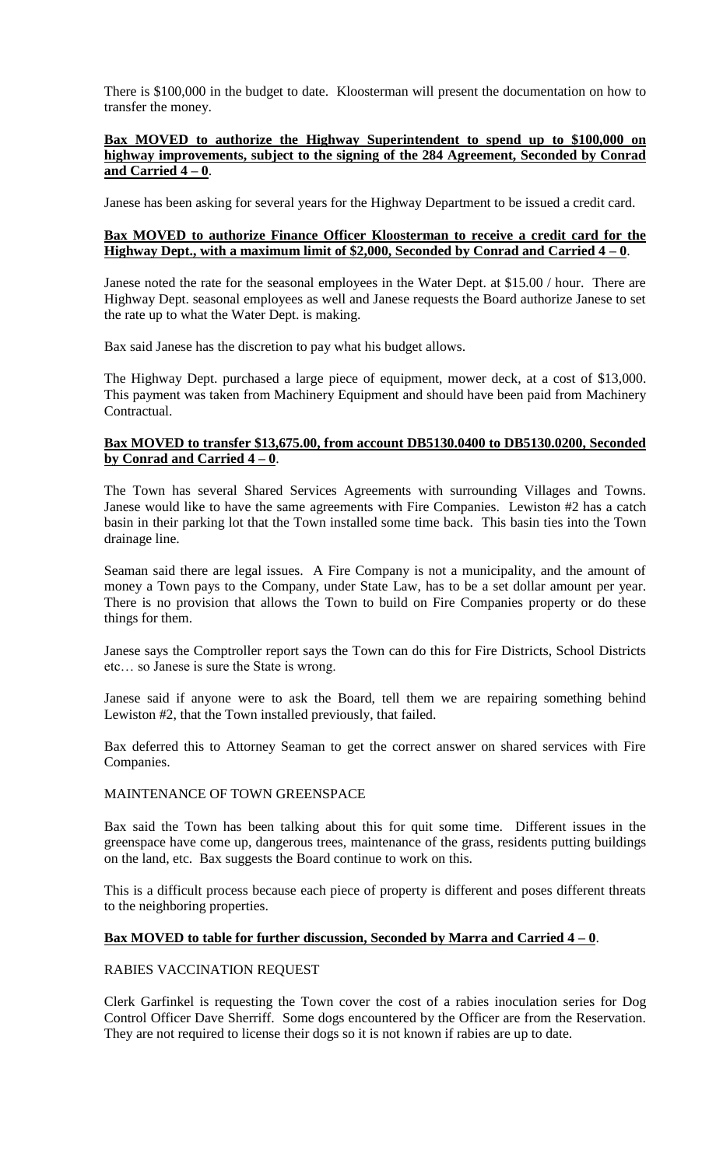There is \$100,000 in the budget to date. Kloosterman will present the documentation on how to transfer the money.

### **Bax MOVED to authorize the Highway Superintendent to spend up to \$100,000 on highway improvements, subject to the signing of the 284 Agreement, Seconded by Conrad and Carried 4 – 0**.

Janese has been asking for several years for the Highway Department to be issued a credit card.

## **Bax MOVED to authorize Finance Officer Kloosterman to receive a credit card for the Highway Dept., with a maximum limit of \$2,000, Seconded by Conrad and Carried 4 – 0**.

Janese noted the rate for the seasonal employees in the Water Dept. at \$15.00 / hour. There are Highway Dept. seasonal employees as well and Janese requests the Board authorize Janese to set the rate up to what the Water Dept. is making.

Bax said Janese has the discretion to pay what his budget allows.

The Highway Dept. purchased a large piece of equipment, mower deck, at a cost of \$13,000. This payment was taken from Machinery Equipment and should have been paid from Machinery Contractual.

### **Bax MOVED to transfer \$13,675.00, from account DB5130.0400 to DB5130.0200, Seconded by Conrad and Carried 4 – 0**.

The Town has several Shared Services Agreements with surrounding Villages and Towns. Janese would like to have the same agreements with Fire Companies. Lewiston #2 has a catch basin in their parking lot that the Town installed some time back. This basin ties into the Town drainage line.

Seaman said there are legal issues. A Fire Company is not a municipality, and the amount of money a Town pays to the Company, under State Law, has to be a set dollar amount per year. There is no provision that allows the Town to build on Fire Companies property or do these things for them.

Janese says the Comptroller report says the Town can do this for Fire Districts, School Districts etc… so Janese is sure the State is wrong.

Janese said if anyone were to ask the Board, tell them we are repairing something behind Lewiston #2, that the Town installed previously, that failed.

Bax deferred this to Attorney Seaman to get the correct answer on shared services with Fire Companies.

# MAINTENANCE OF TOWN GREENSPACE

Bax said the Town has been talking about this for quit some time. Different issues in the greenspace have come up, dangerous trees, maintenance of the grass, residents putting buildings on the land, etc. Bax suggests the Board continue to work on this.

This is a difficult process because each piece of property is different and poses different threats to the neighboring properties.

# **Bax MOVED to table for further discussion, Seconded by Marra and Carried 4 – 0**.

# RABIES VACCINATION REQUEST

Clerk Garfinkel is requesting the Town cover the cost of a rabies inoculation series for Dog Control Officer Dave Sherriff. Some dogs encountered by the Officer are from the Reservation. They are not required to license their dogs so it is not known if rabies are up to date.